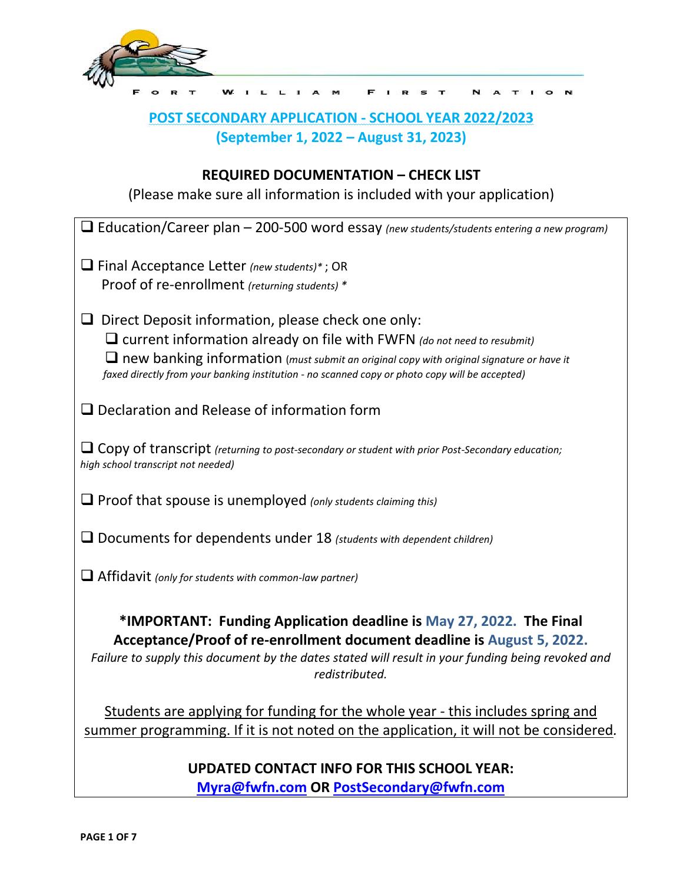

# **POST SECONDARY APPLICATION - SCHOOL YEAR 2022/2023 (September 1, 2022 – August 31, 2023)**

F

N  $\triangleright$  $\mathbf{r}$   $\overline{1}$  o

# **REQUIRED DOCUMENTATION – CHECK LIST**

(Please make sure all information is included with your application)

| $\Box$ Education/Career plan – 200-500 word essay (new students/students entering a new program)                                                                                                                                                                     |
|----------------------------------------------------------------------------------------------------------------------------------------------------------------------------------------------------------------------------------------------------------------------|
| $\Box$ Final Acceptance Letter (new students)*; OR                                                                                                                                                                                                                   |
| Proof of re-enrollment (returning students) *                                                                                                                                                                                                                        |
| $\Box$ Direct Deposit information, please check one only:                                                                                                                                                                                                            |
| $\Box$ current information already on file with FWFN (do not need to resubmit)                                                                                                                                                                                       |
| $\Box$ new banking information (must submit an original copy with original signature or have it                                                                                                                                                                      |
| faxed directly from your banking institution - no scanned copy or photo copy will be accepted)                                                                                                                                                                       |
| $\Box$ Declaration and Release of information form                                                                                                                                                                                                                   |
| $\Box$ Copy of transcript (returning to post-secondary or student with prior Post-Secondary education;                                                                                                                                                               |
| high school transcript not needed)                                                                                                                                                                                                                                   |
| $\Box$ Proof that spouse is unemployed (only students claiming this)                                                                                                                                                                                                 |
| $\Box$ Documents for dependents under 18 (students with dependent children)                                                                                                                                                                                          |
| $\Box$ Affidavit (only for students with common-law partner)                                                                                                                                                                                                         |
| *IMPORTANT: Funding Application deadline is May 27, 2022. The Final<br>Acceptance/Proof of re-enrollment document deadline is August 5, 2022.<br>Failure to supply this document by the dates stated will result in your funding being revoked and<br>redistributed. |
| Students are applying for funding for the whole year - this includes spring and                                                                                                                                                                                      |
| summer programming. If it is not noted on the application, it will not be considered.                                                                                                                                                                                |
| <b>UPDATED CONTACT INFO FOR THIS SCHOOL YEAR:</b>                                                                                                                                                                                                                    |

**[Myra@fwfn.com](mailto:Myra@fwfn.com) OR [PostSecondary@fwfn.com](mailto:PostSecondary@fwfn.com)**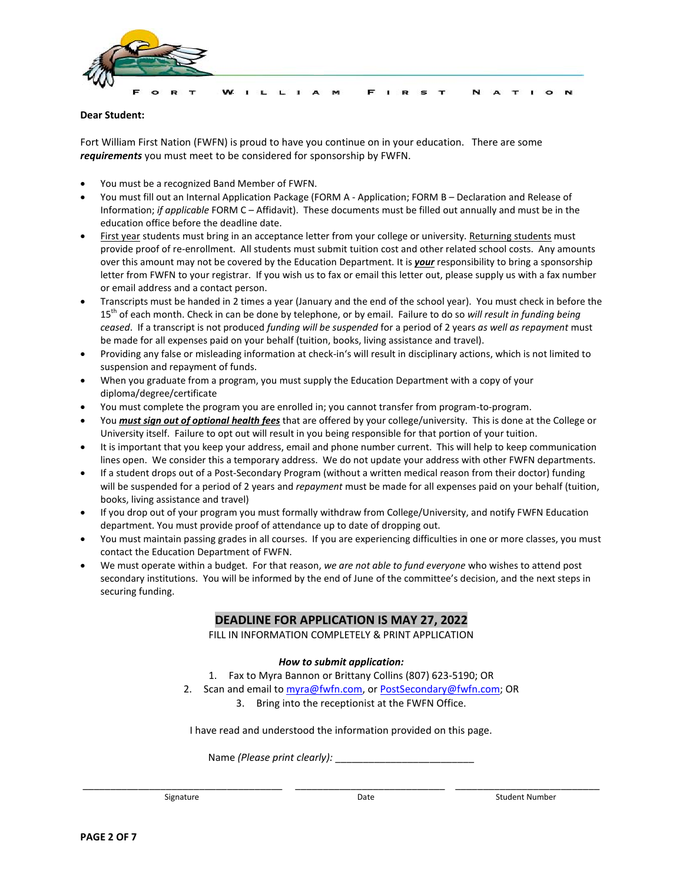

### **Dear Student:**

Fort William First Nation (FWFN) is proud to have you continue on in your education. There are some *requirements* you must meet to be considered for sponsorship by FWFN.

- You must be a recognized Band Member of FWFN.
- You must fill out an Internal Application Package (FORM A Application; FORM B Declaration and Release of Information; *if applicable* FORM C – Affidavit). These documents must be filled out annually and must be in the education office before the deadline date.
- First year students must bring in an acceptance letter from your college or university. Returning students must provide proof of re-enrollment. All students must submit tuition cost and other related school costs. Any amounts over this amount may not be covered by the Education Department. It is *your* responsibility to bring a sponsorship letter from FWFN to your registrar. If you wish us to fax or email this letter out, please supply us with a fax number or email address and a contact person.
- Transcripts must be handed in 2 times a year (January and the end of the school year). You must check in before the 15th of each month. Check in can be done by telephone, or by email. Failure to do so *will result in funding being ceased*. If a transcript is not produced *funding will be suspended* for a period of 2 years *as well as repayment* must be made for all expenses paid on your behalf (tuition, books, living assistance and travel).
- Providing any false or misleading information at check-in's will result in disciplinary actions, which is not limited to suspension and repayment of funds.
- When you graduate from a program, you must supply the Education Department with a copy of your diploma/degree/certificate
- You must complete the program you are enrolled in; you cannot transfer from program-to-program.
- You *must sign out of optional health fees* that are offered by your college/university. This is done at the College or University itself. Failure to opt out will result in you being responsible for that portion of your tuition.
- It is important that you keep your address, email and phone number current. This will help to keep communication lines open. We consider this a temporary address. We do not update your address with other FWFN departments.
- If a student drops out of a Post-Secondary Program (without a written medical reason from their doctor) funding will be suspended for a period of 2 years and *repayment* must be made for all expenses paid on your behalf (tuition, books, living assistance and travel)
- If you drop out of your program you must formally withdraw from College/University, and notify FWFN Education department. You must provide proof of attendance up to date of dropping out.
- You must maintain passing grades in all courses. If you are experiencing difficulties in one or more classes, you must contact the Education Department of FWFN.
- We must operate within a budget. For that reason, *we are not able to fund everyone* who wishes to attend post secondary institutions. You will be informed by the end of June of the committee's decision, and the next steps in securing funding.

# **DEADLINE FOR APPLICATION IS MAY 27, 2022**

FILL IN INFORMATION COMPLETELY & PRINT APPLICATION

## *How to submit application:*

1. Fax to Myra Bannon or Brittany Collins (807) 623-5190; OR

- 2. Scan and email to [myra@fwfn.com,](mailto:myra@fwfn.com) or [PostS](mailto:Post)econdary@fwfn.com; OR
	- 3. Bring into the receptionist at the FWFN Office.

I have read and understood the information provided on this page.

Name *(Please print clearly):* \_\_\_\_\_\_\_\_\_\_\_\_\_\_\_\_\_\_\_\_\_\_\_\_\_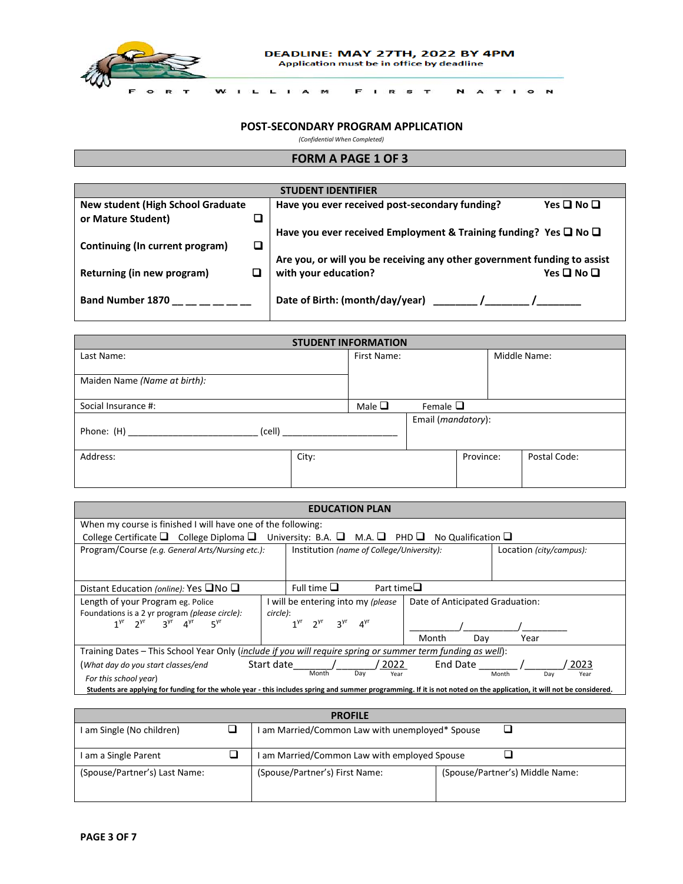

 $\mathbf{r}$  $\mathbf{L}$  FIRST

**NATION** 

### **POST-SECONDARY PROGRAM APPLICATION**

*(Confidential When Completed)*

 $L$   $I$   $A$   $M$ 

## **FORM A PAGE 1 OF 3**

| <b>STUDENT IDENTIFIER</b>                                                        |        |                                                                          |                      |  |  |
|----------------------------------------------------------------------------------|--------|--------------------------------------------------------------------------|----------------------|--|--|
| <b>New student (High School Graduate</b>                                         |        | Have you ever received post-secondary funding?                           | Yes $\Box$ No $\Box$ |  |  |
| or Mature Student)                                                               |        |                                                                          |                      |  |  |
| Have you ever received Employment & Training funding? Yes $\square$ No $\square$ |        |                                                                          |                      |  |  |
| Continuing (In current program)                                                  | $\Box$ |                                                                          |                      |  |  |
|                                                                                  |        | Are you, or will you be receiving any other government funding to assist |                      |  |  |
| Returning (in new program)                                                       |        | with your education?                                                     | Yes $\Box$ No $\Box$ |  |  |
|                                                                                  |        |                                                                          |                      |  |  |
| <b>Band Number 1870</b>                                                          |        | Date of Birth: (month/day/year)                                          |                      |  |  |
|                                                                                  |        |                                                                          |                      |  |  |

| <b>STUDENT INFORMATION</b>   |       |             |                             |           |  |              |
|------------------------------|-------|-------------|-----------------------------|-----------|--|--------------|
| Last Name:                   |       | First Name: |                             |           |  | Middle Name: |
|                              |       |             |                             |           |  |              |
| Maiden Name (Name at birth): |       |             |                             |           |  |              |
| Social Insurance #:          |       | Male $\Box$ | Female $\Box$               |           |  |              |
|                              |       |             | Email ( <i>mandatory</i> ): |           |  |              |
| (cell)<br>Phone: (H)         |       |             |                             |           |  |              |
|                              |       |             |                             |           |  |              |
| Address:                     | City: |             |                             | Province: |  | Postal Code: |
|                              |       |             |                             |           |  |              |
|                              |       |             |                             |           |  |              |

| <b>EDUCATION PLAN</b>                                                                                                                                                 |            |  |                                    |            |                |                  |                                           |          |     |                                 |      |  |
|-----------------------------------------------------------------------------------------------------------------------------------------------------------------------|------------|--|------------------------------------|------------|----------------|------------------|-------------------------------------------|----------|-----|---------------------------------|------|--|
| When my course is finished I will have one of the following:                                                                                                          |            |  |                                    |            |                |                  |                                           |          |     |                                 |      |  |
| College Certificate $\Box$ College Diploma $\Box$ University: B.A. $\Box$ M.A. $\Box$ PHD $\Box$ No Qualification $\Box$                                              |            |  |                                    |            |                |                  |                                           |          |     |                                 |      |  |
| Program/Course (e.g. General Arts/Nursing etc.):                                                                                                                      |            |  |                                    |            |                |                  | Institution (name of College/University): |          |     | Location (city/campus):         |      |  |
|                                                                                                                                                                       |            |  |                                    |            |                |                  |                                           |          |     |                                 |      |  |
|                                                                                                                                                                       |            |  |                                    |            |                |                  |                                           |          |     |                                 |      |  |
| Distant Education (online): Yes $\square$ No $\square$                                                                                                                |            |  | Full time $\Box$                   |            |                | Part time $\Box$ |                                           |          |     |                                 |      |  |
| Length of your Program eg. Police                                                                                                                                     |            |  | I will be entering into my (please |            |                |                  |                                           |          |     | Date of Anticipated Graduation: |      |  |
| Foundations is a 2 yr program (please circle):                                                                                                                        | circle):   |  |                                    |            |                |                  |                                           |          |     |                                 |      |  |
| $1^{yr}$ $2^{yr}$ $3^{yr}$ $4^{yr}$<br>$5^{\gamma r}$                                                                                                                 |            |  | $2^{yr}$                           | <b>3yr</b> | $4^{\gamma r}$ |                  |                                           |          |     |                                 |      |  |
|                                                                                                                                                                       |            |  |                                    |            |                |                  | Month                                     |          | Dav | Year                            |      |  |
| Training Dates – This School Year Only (include if you will require spring or summer term funding as well):                                                           |            |  |                                    |            |                |                  |                                           |          |     |                                 |      |  |
| (What day do you start classes/end                                                                                                                                    | Start date |  |                                    |            |                | 2022             |                                           | End Date |     |                                 | 2023 |  |
| Month<br>Day<br>Month<br>Year<br>Day<br>Year<br>For this school year)                                                                                                 |            |  |                                    |            |                |                  |                                           |          |     |                                 |      |  |
| Students are applying for funding for the whole year - this includes spring and summer programming. If it is not noted on the application, it will not be considered. |            |  |                                    |            |                |                  |                                           |          |     |                                 |      |  |

| <b>PROFILE</b>                |  |                                                 |                                 |  |  |  |  |
|-------------------------------|--|-------------------------------------------------|---------------------------------|--|--|--|--|
| I am Single (No children)     |  | I am Married/Common Law with unemployed* Spouse |                                 |  |  |  |  |
| I am a Single Parent          |  | am Married/Common Law with employed Spouse      |                                 |  |  |  |  |
| (Spouse/Partner's) Last Name: |  | (Spouse/Partner's) First Name:                  | (Spouse/Partner's) Middle Name: |  |  |  |  |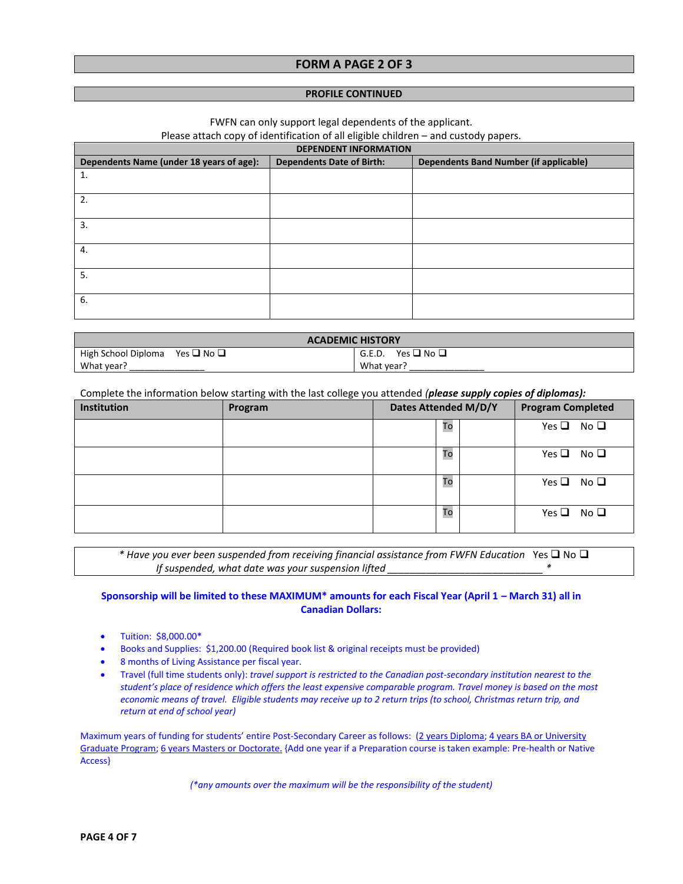## **FORM A PAGE 2 OF 3**

#### **PROFILE CONTINUED**

FWFN can only support legal dependents of the applicant.

Please attach copy of identification of all eligible children – and custody papers.

| <b>DEPENDENT INFORMATION</b>             |                                  |                                               |  |  |  |  |  |
|------------------------------------------|----------------------------------|-----------------------------------------------|--|--|--|--|--|
| Dependents Name (under 18 years of age): | <b>Dependents Date of Birth:</b> | <b>Dependents Band Number (if applicable)</b> |  |  |  |  |  |
| 1.                                       |                                  |                                               |  |  |  |  |  |
| 2.                                       |                                  |                                               |  |  |  |  |  |
| 3.                                       |                                  |                                               |  |  |  |  |  |
| 4.                                       |                                  |                                               |  |  |  |  |  |
| 5.                                       |                                  |                                               |  |  |  |  |  |
| 6.                                       |                                  |                                               |  |  |  |  |  |

| <b>ACADEMIC HISTORY</b>                        |                      |  |  |  |  |
|------------------------------------------------|----------------------|--|--|--|--|
| High School Diploma Yes $\square$ No $\square$ | Yes ❑ No ❑<br>G.E.D. |  |  |  |  |
| What year?<br>What year?                       |                      |  |  |  |  |

Complete the information below starting with the last college you attended *(please supply copies of diplomas):*

| Institution | Program | Dates Attended M/D/Y | <b>Program Completed</b> |  |  |
|-------------|---------|----------------------|--------------------------|--|--|
|             |         | To                   | Yes $\Box$ No $\Box$     |  |  |
|             |         | To                   | Yes $\Box$ No $\Box$     |  |  |
|             |         | To                   | Yes $\Box$ No $\Box$     |  |  |
|             |         | To                   | Yes $\Box$ No $\Box$     |  |  |

*\** Have you ever been suspended from receiving financial assistance from FWFN Education Yes **□** No **□** *If suspended, what date was your suspension lifted \_\_\_\_\_\_\_\_\_\_\_\_\_\_\_\_\_\_\_\_\_\_\_\_\_\_\_\_ \**

## **Sponsorship will be limited to these MAXIMUM\* amounts for each Fiscal Year (April 1 – March 31) all in Canadian Dollars:**

- Tuition: \$8,000.00\*
- Books and Supplies: \$1,200.00 (Required book list & original receipts must be provided)
- 8 months of Living Assistance per fiscal year.
- Travel (full time students only): *travel support is restricted to the Canadian post-secondary institution nearest to the student's place of residence which offers the least expensive comparable program. Travel money is based on the most economic means of travel. Eligible students may receive up to 2 return trips (to school, Christmas return trip, and return at end of school year)*

Maximum years of funding for students' entire Post-Secondary Career as follows: (2 years Diploma; 4 years BA or University Graduate Program; 6 years Masters or Doctorate. {Add one year if a Preparation course is taken example: Pre-health or Native Access}

*(\*any amounts over the maximum will be the responsibility of the student)*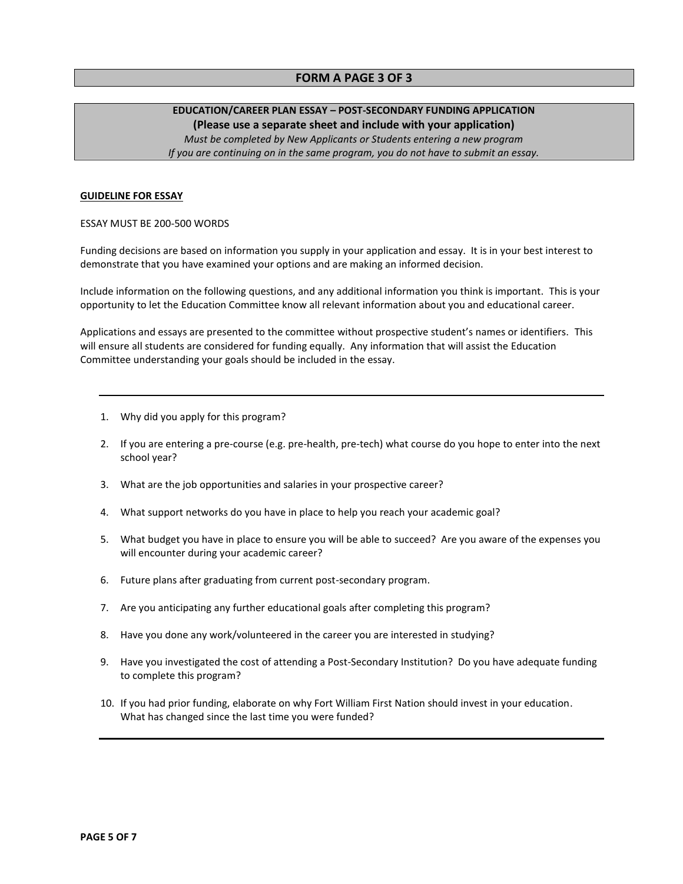## **FORM A PAGE 3 OF 3**

# **EDUCATION/CAREER PLAN ESSAY – POST-SECONDARY FUNDING APPLICATION (Please use a separate sheet and include with your application)**

*Must be completed by New Applicants or Students entering a new program If you are continuing on in the same program, you do not have to submit an essay.*

### **GUIDELINE FOR ESSAY**

#### ESSAY MUST BE 200-500 WORDS

Funding decisions are based on information you supply in your application and essay. It is in your best interest to demonstrate that you have examined your options and are making an informed decision.

Include information on the following questions, and any additional information you think is important. This is your opportunity to let the Education Committee know all relevant information about you and educational career.

Applications and essays are presented to the committee without prospective student's names or identifiers. This will ensure all students are considered for funding equally. Any information that will assist the Education Committee understanding your goals should be included in the essay.

- 1. Why did you apply for this program?
- 2. If you are entering a pre-course (e.g. pre-health, pre-tech) what course do you hope to enter into the next school year?
- 3. What are the job opportunities and salaries in your prospective career?
- 4. What support networks do you have in place to help you reach your academic goal?
- 5. What budget you have in place to ensure you will be able to succeed? Are you aware of the expenses you will encounter during your academic career?
- 6. Future plans after graduating from current post-secondary program.
- 7. Are you anticipating any further educational goals after completing this program?
- 8. Have you done any work/volunteered in the career you are interested in studying?
- 9. Have you investigated the cost of attending a Post-Secondary Institution? Do you have adequate funding to complete this program?
- 10. If you had prior funding, elaborate on why Fort William First Nation should invest in your education. What has changed since the last time you were funded?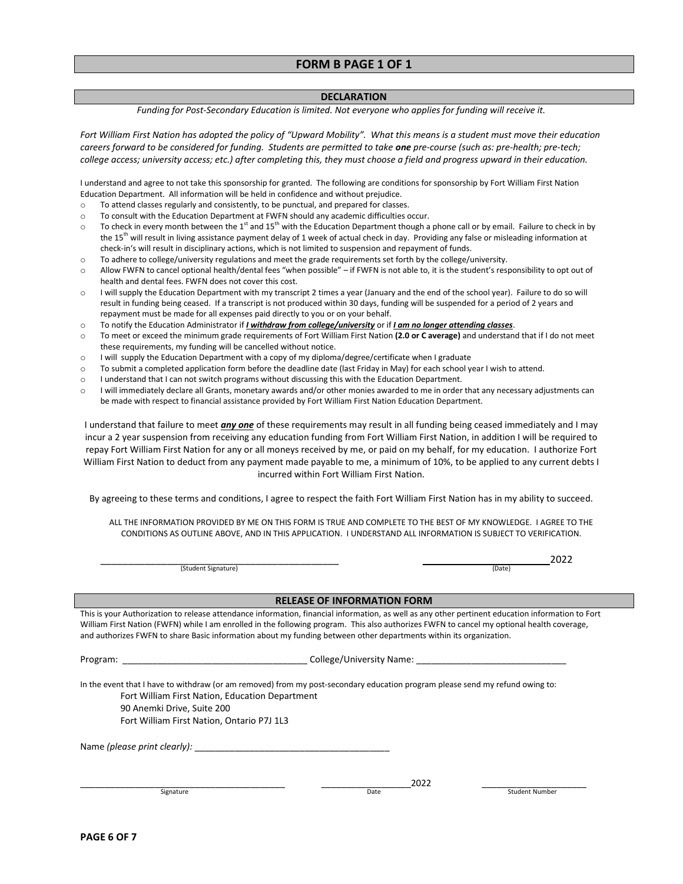## **FORM B PAGE 1 OF 1**

### **DECLARATION**

*Funding for Post-Secondary Education is limited. Not everyone who applies for funding will receive it.*

Fort William First Nation has adopted the policy of "Upward Mobility". What this means is a student must move their education *careers forward to be considered for funding. Students are permitted to take one pre-course (such as: pre-health; pre-tech; college access; university access; etc.) after completing this, they must choose a field and progress upward in their education.* 

I understand and agree to not take this sponsorship for granted. The following are conditions for sponsorship by Fort William First Nation Education Department. All information will be held in confidence and without prejudice.

- o To attend classes regularly and consistently, to be punctual, and prepared for classes.
- o To consult with the Education Department at FWFN should any academic difficulties occur.
- $\circ$  To check in every month between the 1<sup>st</sup> and 15<sup>th</sup> with the Education Department though a phone call or by email. Failure to check in by the 15<sup>th</sup> will result in living assistance payment delay of 1 week of actual check in day. Providing any false or misleading information at check-in's will result in disciplinary actions, which is not limited to suspension and repayment of funds.
- o To adhere to college/university regulations and meet the grade requirements set forth by the college/university.
- o Allow FWFN to cancel optional health/dental fees "when possible" if FWFN is not able to, it is the student's responsibility to opt out of health and dental fees. FWFN does not cover this cost.
- o I will supply the Education Department with my transcript 2 times a year (January and the end of the school year). Failure to do so will result in funding being ceased. If a transcript is not produced within 30 days, funding will be suspended for a period of 2 years and repayment must be made for all expenses paid directly to you or on your behalf.
- o To notify the Education Administrator if *I withdraw from college/university* or if *I am no longer attending classes*.
- o To meet or exceed the minimum grade requirements of Fort William First Nation **(2.0 or C average)** and understand that if I do not meet these requirements, my funding will be cancelled without notice.
- o I will supply the Education Department with a copy of my diploma/degree/certificate when I graduate
- o To submit a completed application form before the deadline date (last Friday in May) for each school year I wish to attend.
- o I understand that I can not switch programs without discussing this with the Education Department.
- o I will immediately declare all Grants, monetary awards and/or other monies awarded to me in order that any necessary adjustments can be made with respect to financial assistance provided by Fort William First Nation Education Department.

I understand that failure to meet *any one* of these requirements may result in all funding being ceased immediately and I may incur a 2 year suspension from receiving any education funding from Fort William First Nation, in addition I will be required to repay Fort William First Nation for any or all moneys received by me, or paid on my behalf, for my education. I authorize Fort William First Nation to deduct from any payment made payable to me, a minimum of 10%, to be applied to any current debts I incurred within Fort William First Nation.

By agreeing to these terms and conditions, I agree to respect the faith Fort William First Nation has in my ability to succeed.

ALL THE INFORMATION PROVIDED BY ME ON THIS FORM IS TRUE AND COMPLETE TO THE BEST OF MY KNOWLEDGE. I AGREE TO THE CONDITIONS AS OUTLINE ABOVE, AND IN THIS APPLICATION. I UNDERSTAND ALL INFORMATION IS SUBJECT TO VERIFICATION.

(Student Signature)

\_\_\_\_\_\_\_\_\_\_\_\_\_\_\_\_\_\_\_\_\_\_\_\_\_\_\_\_\_\_\_\_\_\_\_\_\_\_\_\_\_\_\_\_\_\_\_\_\_\_\_\_\_\_\_\_\_\_\_\_\_\_\_\_\_\_2022

(Date)

#### **RELEASE OF INFORMATION FORM**

This is your Authorization to release attendance information, financial information, as well as any other pertinent education information to Fort William First Nation (FWFN) while I am enrolled in the following program. This also authorizes FWFN to cancel my optional health coverage, and authorizes FWFN to share Basic information about my funding between other departments within its organization.

| Program: |  |  |
|----------|--|--|
|          |  |  |
|          |  |  |

College/University Name:

In the event that I have to withdraw (or am removed) from my post-secondary education program please send my refund owing to: Fort William First Nation, Education Department 90 Anemki Drive, Suite 200 Fort William First Nation, Ontario P7J 1L3

Name *(please print clearly):* \_\_\_\_\_\_\_\_\_\_\_\_\_\_\_\_\_\_\_\_\_\_\_\_\_\_\_\_\_\_\_\_\_\_\_\_\_\_\_

\_\_\_\_\_\_\_\_\_\_\_\_\_\_\_\_\_\_\_\_\_\_\_\_\_\_\_\_\_\_\_\_\_\_\_\_\_\_\_\_\_ \_\_\_\_\_\_\_\_\_\_\_\_\_\_\_\_\_\_2022 \_\_\_\_\_\_\_\_\_\_\_\_\_\_\_\_\_\_\_\_\_